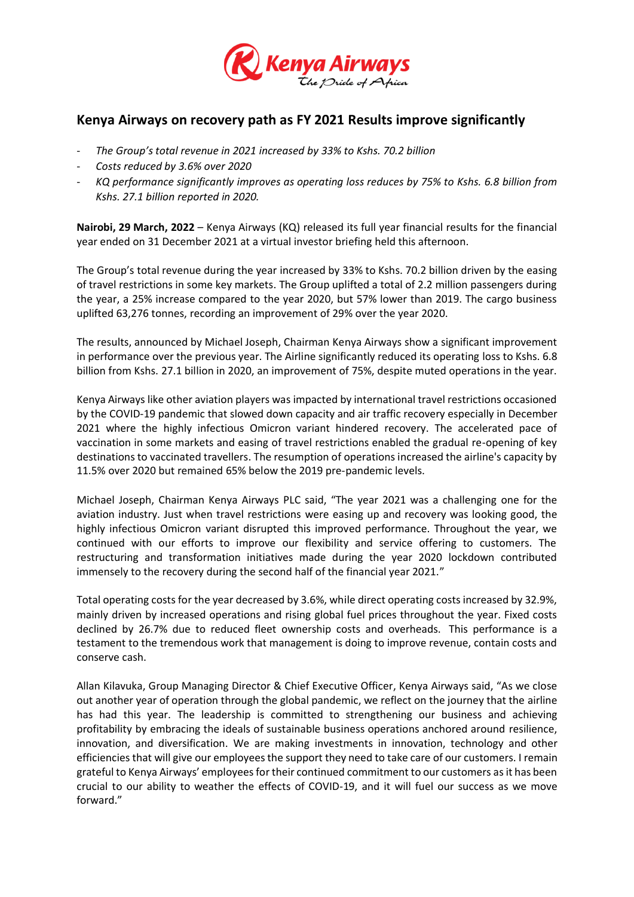

## **Kenya Airways on recovery path as FY 2021 Results improve significantly**

- *The Group's total revenue in 2021 increased by 33% to Kshs. 70.2 billion*
- *Costs reduced by 3.6% over 2020*
- *KQ performance significantly improves as operating loss reduces by 75% to Kshs. 6.8 billion from Kshs. 27.1 billion reported in 2020.*

**Nairobi, 29 March, 2022** – Kenya Airways (KQ) released its full year financial results for the financial year ended on 31 December 2021 at a virtual investor briefing held this afternoon.

The Group's total revenue during the year increased by 33% to Kshs. 70.2 billion driven by the easing of travel restrictions in some key markets. The Group uplifted a total of 2.2 million passengers during the year, a 25% increase compared to the year 2020, but 57% lower than 2019. The cargo business uplifted 63,276 tonnes, recording an improvement of 29% over the year 2020.

The results, announced by Michael Joseph, Chairman Kenya Airways show a significant improvement in performance over the previous year. The Airline significantly reduced its operating loss to Kshs. 6.8 billion from Kshs. 27.1 billion in 2020, an improvement of 75%, despite muted operations in the year.

Kenya Airways like other aviation players was impacted by international travel restrictions occasioned by the COVID-19 pandemic that slowed down capacity and air traffic recovery especially in December 2021 where the highly infectious Omicron variant hindered recovery. The accelerated pace of vaccination in some markets and easing of travel restrictions enabled the gradual re-opening of key destinations to vaccinated travellers. The resumption of operations increased the airline's capacity by 11.5% over 2020 but remained 65% below the 2019 pre-pandemic levels.

Michael Joseph, Chairman Kenya Airways PLC said, "The year 2021 was a challenging one for the aviation industry. Just when travel restrictions were easing up and recovery was looking good, the highly infectious Omicron variant disrupted this improved performance. Throughout the year, we continued with our efforts to improve our flexibility and service offering to customers. The restructuring and transformation initiatives made during the year 2020 lockdown contributed immensely to the recovery during the second half of the financial year 2021."

Total operating costs for the year decreased by 3.6%, while direct operating costs increased by 32.9%, mainly driven by increased operations and rising global fuel prices throughout the year. Fixed costs declined by 26.7% due to reduced fleet ownership costs and overheads. This performance is a testament to the tremendous work that management is doing to improve revenue, contain costs and conserve cash.

Allan Kilavuka, Group Managing Director & Chief Executive Officer, Kenya Airways said, "As we close out another year of operation through the global pandemic, we reflect on the journey that the airline has had this year. The leadership is committed to strengthening our business and achieving profitability by embracing the ideals of sustainable business operations anchored around resilience, innovation, and diversification. We are making investments in innovation, technology and other efficiencies that will give our employeesthe support they need to take care of our customers. I remain grateful to Kenya Airways' employees for their continued commitment to our customers as it has been crucial to our ability to weather the effects of COVID-19, and it will fuel our success as we move forward."